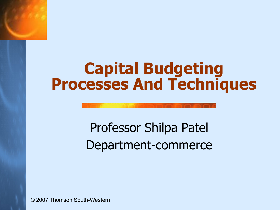### **Capital Budgeting Processes And Techniques**

### Professor Shilpa Patel Department-commerce

© 2007 Thomson South-Western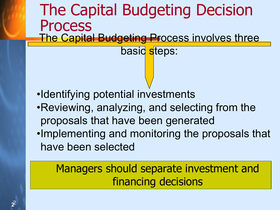The Capital Budgeting Decision Process **The Capital Budgeting Process involves three** 

basic steps:

- •Identifying potential investments
- •Reviewing, analyzing, and selecting from the proposals that have been generated
- •Implementing and monitoring the proposals that have been selected

#### Managers should separate investment and financing decisions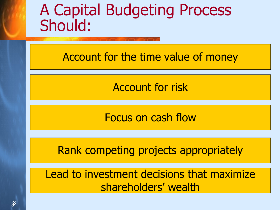### A Capital Budgeting Process Should:

Account for the time value of money

Account for risk

Focus on cash flow

Rank competing projects appropriately

Lead to investment decisions that maximize shareholders' wealth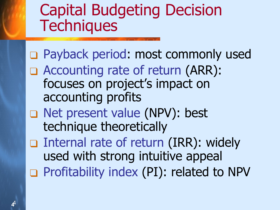## Capital Budgeting Decision **Techniques**

❑ Payback period: most commonly used ❑ Accounting rate of return (ARR): focuses on project's impact on accounting profits ❑ Net present value (NPV): best technique theoretically ❑ Internal rate of return (IRR): widely used with strong intuitive appeal

❑ Profitability index (PI): related to NPV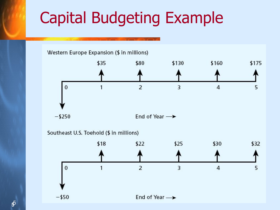## Capital Budgeting Example

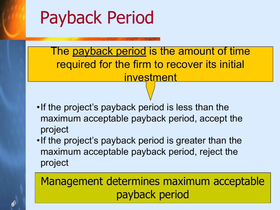# Payback Period

The payback period is the amount of time required for the firm to recover its initial investment

- •If the project's payback period is less than the maximum acceptable payback period, accept the project
- •If the project's payback period is greater than the maximum acceptable payback period, reject the project

Management determines maximum acceptable payback period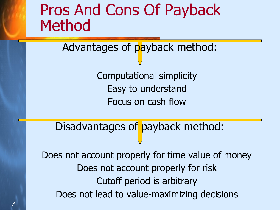### Pros And Cons Of Payback Method

Advantages of payback method:

Computational simplicity Easy to understand Focus on cash flow

Disadvantages of payback method:

Does not account properly for time value of money Does not account properly for risk Cutoff period is arbitrary Does not lead to value-maximizing decisions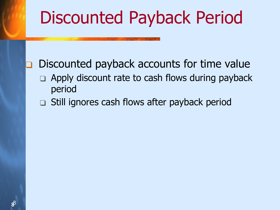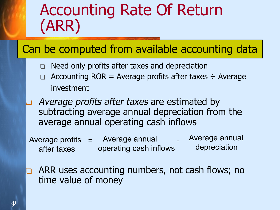## Accounting Rate Of Return (ARR)

#### Can be computed from available accounting data

- ❑ Need only profits after taxes and depreciation
- Accounting  $ROR = Average$  profits after taxes  $\div$  Average investment
- Average profits after taxes are estimated by subtracting average annual depreciation from the average annual operating cash inflows
- Average profits = Average annual after taxes operating cash inflows Average annual depreciation
- ARR uses accounting numbers, not cash flows; no time value of money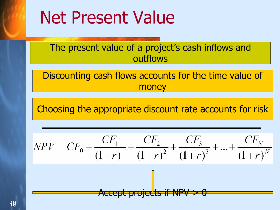# Net Present Value

The present value of a project's cash inflows and outflows

Discounting cash flows accounts for the time value of money

Choosing the appropriate discount rate accounts for risk

$$
NPV = CF_0 + \frac{CF_1}{(1+r)} + \frac{CF_2}{(1+r)^2} + \frac{CF_3}{(1+r)^3} + \dots + \frac{CF_N}{(1+r)^N}
$$
  
Accept projects if NPV > 0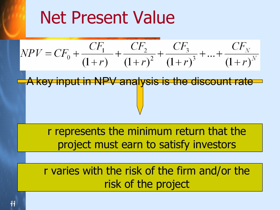# Net Present Value

$$
NPV = CF_0 + \frac{CF_1}{(1+r)} + \frac{CF_2}{(1+r)^2} + \frac{CF_3}{(1+r)^3} + \dots + \frac{CF_N}{(1+r)^N}
$$

A key input in NPV analysis is the discount rate

r represents the minimum return that the project must earn to satisfy investors

r varies with the risk of the firm and/or the risk of the project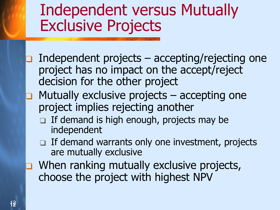### Independent versus Mutually Exclusive Projects

- Independent projects  $-$  accepting/rejecting one project has no impact on the accept/reject decision for the other project
- Mutually exclusive projects accepting one project implies rejecting another
	- □ If demand is high enough, projects may be independent
	- □ If demand warrants only one investment, projects are mutually exclusive
- When ranking mutually exclusive projects, choose the project with highest NPV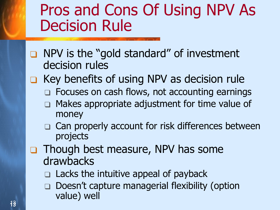## Pros and Cons Of Using NPV As Decision Rule

- ❑ NPV is the "gold standard" of investment decision rules
- ❑ Key benefits of using NPV as decision rule
	- □ Focuses on cash flows, not accounting earnings
	- Makes appropriate adjustment for time value of money
	- ❑ Can properly account for risk differences between projects
- ❑ Though best measure, NPV has some drawbacks
	- ❑ Lacks the intuitive appeal of payback
	- ❑ Doesn't capture managerial flexibility (option value) well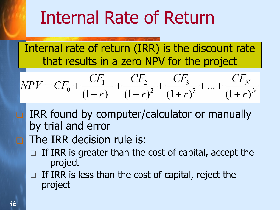# Internal Rate of Return

Internal rate of return (IRR) is the discount rate that results in a zero NPV for the project

$$
NPV = CF_0 + \frac{CF_1}{(1+r)} + \frac{CF_2}{(1+r)^2} + \frac{CF_3}{(1+r)^3} + \dots + \frac{CF_N}{(1+r)^N}
$$

IRR found by computer/calculator or manually by trial and error

### The IRR decision rule is:

- If IRR is greater than the cost of capital, accept the project
- □ If IRR is less than the cost of capital, reject the project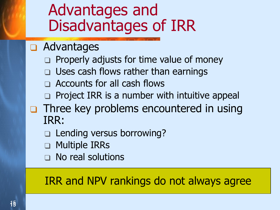### Advantages and Disadvantages of IRR

#### ❑ Advantages

- □ Properly adjusts for time value of money
- □ Uses cash flows rather than earnings
- □ Accounts for all cash flows
- □ Project IRR is a number with intuitive appeal
- ❑ Three key problems encountered in using IRR:
	- ❑ Lending versus borrowing?
	- ❑ Multiple IRRs
	- □ No real solutions

### IRR and NPV rankings do not always agree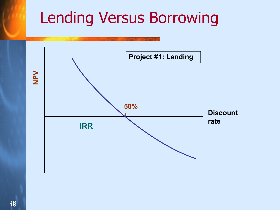## Lending Versus Borrowing

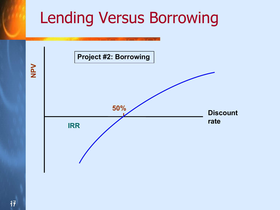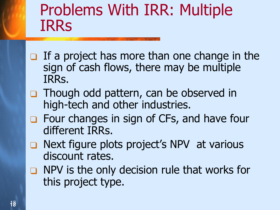## Problems With IRR: Multiple IRRs

- $\Box$  If a project has more than one change in the sign of cash flows, there may be multiple IRRs.
- ❑ Though odd pattern, can be observed in high-tech and other industries.
- ❑ Four changes in sign of CFs, and have four different IRRs.
- ❑ Next figure plots project's NPV at various discount rates.
- ❑ NPV is the only decision rule that works for this project type.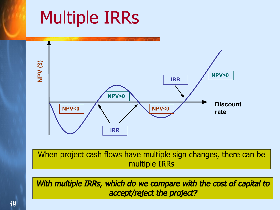### Multiple IRRs **NPV (\$) NPV<0 NPV>0 NPV>0 Discount rate IRR IRR**

When project cash flows have multiple sign changes, there can be multiple IRRs

With multiple IRRs, which do we compare with the cost of capital to accept/reject the project?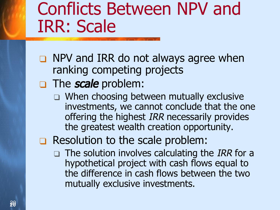# Conflicts Between NPV and IRR: Scale

- ❑ NPV and IRR do not always agree when ranking competing projects
- □ The scale problem:
	- ❑ When choosing between mutually exclusive investments, we cannot conclude that the one offering the highest IRR necessarily provides the greatest wealth creation opportunity.
- ❑ Resolution to the scale problem:
	- $\Box$  The solution involves calculating the IRR for a hypothetical project with cash flows equal to the difference in cash flows between the two mutually exclusive investments.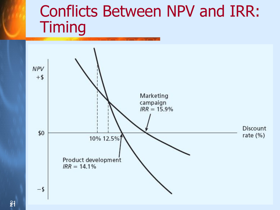## Conflicts Between NPV and IRR: **Timing**

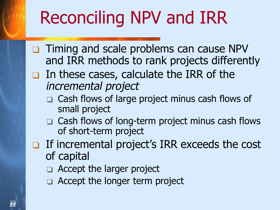# Reconciling NPV and IRR

- ❑ Timing and scale problems can cause NPV and IRR methods to rank projects differently
- ❑ In these cases, calculate the IRR of the incremental project
	- ❑ Cash flows of large project minus cash flows of small project
	- ❑ Cash flows of long-term project minus cash flows of short-term project
- ❑ If incremental project's IRR exceeds the cost of capital
	- □ Accept the larger project
	- ❑ Accept the longer term project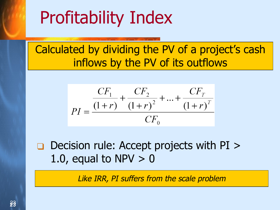# Profitability Index

Calculated by dividing the PV of a project's cash inflows by the PV of its outflows

$$
PI = \frac{CF_1}{(1+r)} + \frac{CF_2}{(1+r)^2} + ... + \frac{CF_T}{(1+r)^T}
$$

$$
CF_0
$$

❑ Decision rule: Accept projects with PI > 1.0, equal to NPV  $> 0$ 

Like IRR, PI suffers from the scale problem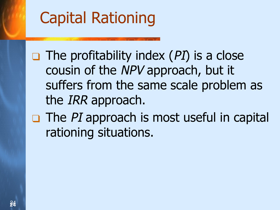# Capital Rationing

 $\Box$  The profitability index (PI) is a close cousin of the NPV approach, but it suffers from the same scale problem as the *IRR* approach.

 $\Box$  The PI approach is most useful in capital rationing situations.